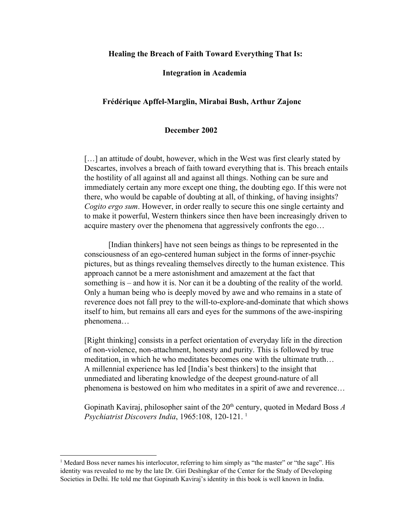### **Healing the Breach of Faith Toward Everything That Is:**

#### **Integration in Academia**

## **Frédérique ApffelMarglin, Mirabai Bush, Arthur Zajonc**

## **December 2002**

[...] an attitude of doubt, however, which in the West was first clearly stated by Descartes, involves a breach of faith toward everything that is. This breach entails the hostility of all against all and against all things. Nothing can be sure and immediately certain any more except one thing, the doubting ego. If this were not there, who would be capable of doubting at all, of thinking, of having insights? *Cogito ergo sum*. However, in order really to secure this one single certainty and to make it powerful, Western thinkers since then have been increasingly driven to acquire mastery over the phenomena that aggressively confronts the ego…

[Indian thinkers] have not seen beings as things to be represented in the consciousness of an ego-centered human subject in the forms of inner-psychic pictures, but as things revealing themselves directly to the human existence. This approach cannot be a mere astonishment and amazement at the fact that something is – and how it is. Nor can it be a doubting of the reality of the world. Only a human being who is deeply moved by awe and who remains in a state of reverence does not fall prey to the will-to-explore-and-dominate that which shows itself to him, but remains all ears and eyes for the summons of the awe-inspiring phenomena…

[Right thinking] consists in a perfect orientation of everyday life in the direction of non-violence, non-attachment, honesty and purity. This is followed by true meditation, in which he who meditates becomes one with the ultimate truth… A millennial experience has led [India's best thinkers] to the insight that unmediated and liberating knowledge of the deepest ground-nature of all phenomena is bestowed on him who meditates in a spirit of awe and reverence…

Gopinath Kaviraj, philosopher saint of the 20<sup>th</sup> century, quoted in Medard Boss A *Psychiatrist Discovers India*, 1965:108, 120-121.<sup>1</sup>

<sup>1</sup> Medard Boss never names his interlocutor, referring to him simply as "the master" or "the sage". His identity was revealed to me by the late Dr. Giri Deshingkar of the Center for the Study of Developing Societies in Delhi. He told me that Gopinath Kaviraj's identity in this book is well known in India.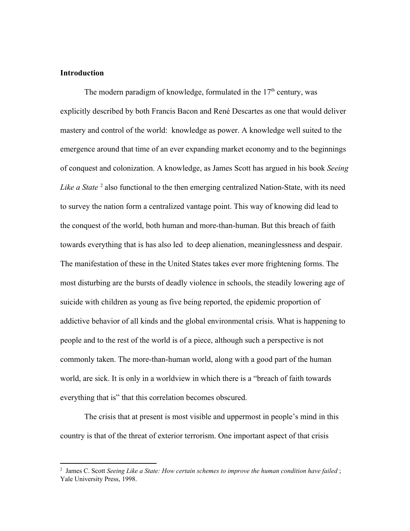### **Introduction**

The modern paradigm of knowledge, formulated in the 17<sup>th</sup> century, was explicitly described by both Francis Bacon and René Descartes as one that would deliver mastery and control of the world: knowledge as power. A knowledge well suited to the emergence around that time of an ever expanding market economy and to the beginnings of conquest and colonization. A knowledge, as James Scott has argued in his book *Seeing* Like a State<sup>2</sup> also functional to the then emerging centralized Nation-State, with its need to survey the nation form a centralized vantage point. This way of knowing did lead to the conquest of the world, both human and more-than-human. But this breach of faith towards everything that is has also led to deep alienation, meaninglessness and despair. The manifestation of these in the United States takes ever more frightening forms. The most disturbing are the bursts of deadly violence in schools, the steadily lowering age of suicide with children as young as five being reported, the epidemic proportion of addictive behavior of all kinds and the global environmental crisis. What is happening to people and to the rest of the world is of a piece, although such a perspective is not commonly taken. The more-than-human world, along with a good part of the human world, are sick. It is only in a worldview in which there is a "breach of faith towards everything that is" that this correlation becomes obscured.

The crisis that at present is most visible and uppermost in people's mind in this country is that of the threat of exterior terrorism. One important aspect of that crisis

<sup>2</sup> James C. Scott *Seeing Like a State: How certain schemes to improve the human condition have failed* ; Yale University Press, 1998.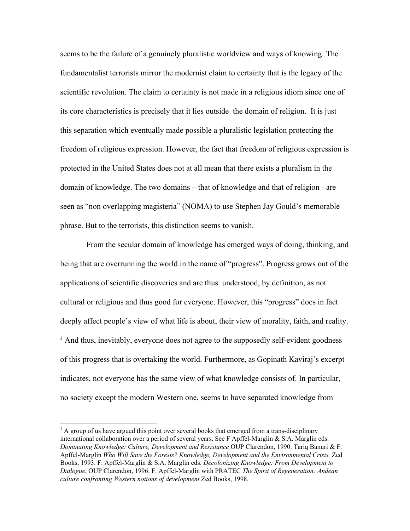seems to be the failure of a genuinely pluralistic worldview and ways of knowing. The fundamentalist terrorists mirror the modernist claim to certainty that is the legacy of the scientific revolution. The claim to certainty is not made in a religious idiom since one of its core characteristics is precisely that it lies outside the domain of religion. It is just this separation which eventually made possible a pluralistic legislation protecting the freedom of religious expression. However, the fact that freedom of religious expression is protected in the United States does not at all mean that there exists a pluralism in the domain of knowledge. The two domains – that of knowledge and that of religion - are seen as "non overlapping magisteria" (NOMA) to use Stephen Jay Gould's memorable phrase. But to the terrorists, this distinction seems to vanish.

From the secular domain of knowledge has emerged ways of doing, thinking, and being that are overrunning the world in the name of "progress". Progress grows out of the applications of scientific discoveries and are thus understood, by definition, as not cultural or religious and thus good for everyone. However, this "progress" does in fact deeply affect people's view of what life is about, their view of morality, faith, and reality.  $3$  And thus, inevitably, everyone does not agree to the supposedly self-evident goodness of this progress that is overtaking the world. Furthermore, as Gopinath Kaviraj's excerpt indicates, not everyone has the same view of what knowledge consists of. In particular, no society except the modern Western one, seems to have separated knowledge from

<sup>&</sup>lt;sup>3</sup> A group of us have argued this point over several books that emerged from a trans-disciplinary international collaboration over a period of several years. See F Apffel-Marglin  $&$  S.A. Marglin eds. *Dominating Knowledge: Culture, Development and Resistance* OUP Clarendon, 1990. Tariq Banuri & F. ApffelMarglin *Who Will Save the Forests? Knowledge, Development and the Environmental Crisis.* Zed Books, 1993. F. ApffelMarglin & S.A. Marglin eds. *Decolonizing Knowledge: From Development to Dialogue*, OUP Clarendon, 1996. F. ApffelMarglin with PRATEC *The Spirit of Regeneration: Andean culture confronting Western notions of development* Zed Books, 1998.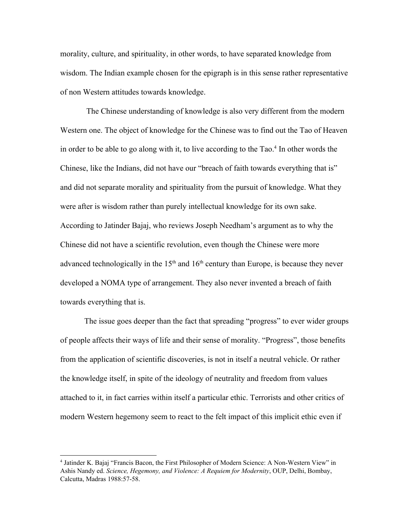morality, culture, and spirituality, in other words, to have separated knowledge from wisdom. The Indian example chosen for the epigraph is in this sense rather representative of non Western attitudes towards knowledge.

The Chinese understanding of knowledge is also very different from the modern Western one. The object of knowledge for the Chinese was to find out the Tao of Heaven in order to be able to go along with it, to live according to the  $Tao<sup>4</sup>$  In other words the Chinese, like the Indians, did not have our "breach of faith towards everything that is" and did not separate morality and spirituality from the pursuit of knowledge. What they were after is wisdom rather than purely intellectual knowledge for its own sake. According to Jatinder Bajaj, who reviews Joseph Needham's argument as to why the Chinese did not have a scientific revolution, even though the Chinese were more advanced technologically in the  $15<sup>th</sup>$  and  $16<sup>th</sup>$  century than Europe, is because they never developed a NOMA type of arrangement. They also never invented a breach of faith towards everything that is.

The issue goes deeper than the fact that spreading "progress" to ever wider groups of people affects their ways of life and their sense of morality. "Progress", those benefits from the application of scientific discoveries, is not in itself a neutral vehicle. Or rather the knowledge itself, in spite of the ideology of neutrality and freedom from values attached to it, in fact carries within itself a particular ethic. Terrorists and other critics of modern Western hegemony seem to react to the felt impact of this implicit ethic even if

<sup>&</sup>lt;sup>4</sup> Jatinder K. Bajaj "Francis Bacon, the First Philosopher of Modern Science: A Non-Western View" in Ashis Nandy ed. *Science, Hegemony, and Violence: A Requiem for Modernity*, OUP, Delhi, Bombay, Calcutta, Madras 1988:57-58.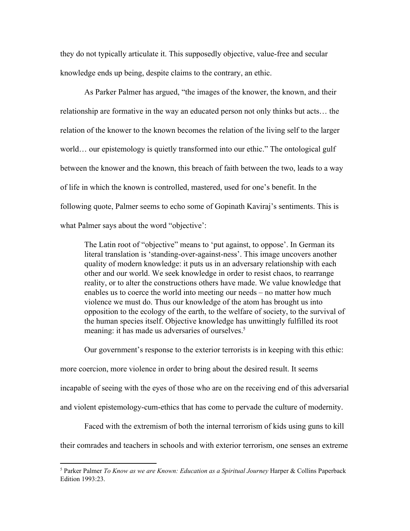they do not typically articulate it. This supposedly objective, value-free and secular knowledge ends up being, despite claims to the contrary, an ethic.

As Parker Palmer has argued, "the images of the knower, the known, and their relationship are formative in the way an educated person not only thinks but acts… the relation of the knower to the known becomes the relation of the living self to the larger world… our epistemology is quietly transformed into our ethic." The ontological gulf between the knower and the known, this breach of faith between the two, leads to a way of life in which the known is controlled, mastered, used for one's benefit. In the following quote, Palmer seems to echo some of Gopinath Kaviraj's sentiments. This is what Palmer says about the word "objective':

The Latin root of "objective" means to 'put against, to oppose'. In German its literal translation is 'standing-over-against-ness'. This image uncovers another quality of modern knowledge: it puts us in an adversary relationship with each other and our world. We seek knowledge in order to resist chaos, to rearrange reality, or to alter the constructions others have made. We value knowledge that enables us to coerce the world into meeting our needs – no matter how much violence we must do. Thus our knowledge of the atom has brought us into opposition to the ecology of the earth, to the welfare of society, to the survival of the human species itself. Objective knowledge has unwittingly fulfilled its root meaning: it has made us adversaries of ourselves.<sup>5</sup>

Our government's response to the exterior terrorists is in keeping with this ethic:

more coercion, more violence in order to bring about the desired result. It seems

incapable of seeing with the eyes of those who are on the receiving end of this adversarial

and violent epistemology-cum-ethics that has come to pervade the culture of modernity.

Faced with the extremism of both the internal terrorism of kids using guns to kill

their comrades and teachers in schools and with exterior terrorism, one senses an extreme

<sup>5</sup> Parker Palmer *To Know as we are Known: Education as a Spiritual Journey* Harper & Collins Paperback Edition 1993:23.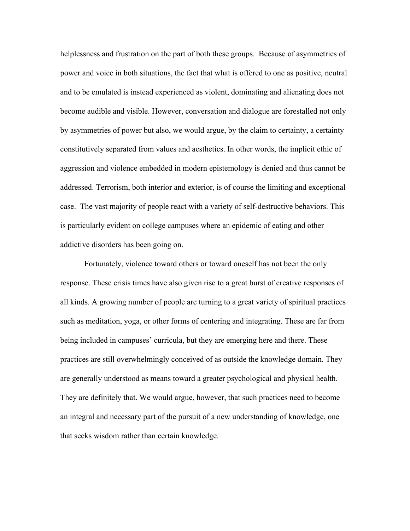helplessness and frustration on the part of both these groups. Because of asymmetries of power and voice in both situations, the fact that what is offered to one as positive, neutral and to be emulated is instead experienced as violent, dominating and alienating does not become audible and visible. However, conversation and dialogue are forestalled not only by asymmetries of power but also, we would argue, by the claim to certainty, a certainty constitutively separated from values and aesthetics. In other words, the implicit ethic of aggression and violence embedded in modern epistemology is denied and thus cannot be addressed. Terrorism, both interior and exterior, is of course the limiting and exceptional case. The vast majority of people react with a variety of self-destructive behaviors. This is particularly evident on college campuses where an epidemic of eating and other addictive disorders has been going on.

Fortunately, violence toward others or toward oneself has not been the only response. These crisis times have also given rise to a great burst of creative responses of all kinds. A growing number of people are turning to a great variety of spiritual practices such as meditation, yoga, or other forms of centering and integrating. These are far from being included in campuses' curricula, but they are emerging here and there. These practices are still overwhelmingly conceived of as outside the knowledge domain. They are generally understood as means toward a greater psychological and physical health. They are definitely that. We would argue, however, that such practices need to become an integral and necessary part of the pursuit of a new understanding of knowledge, one that seeks wisdom rather than certain knowledge.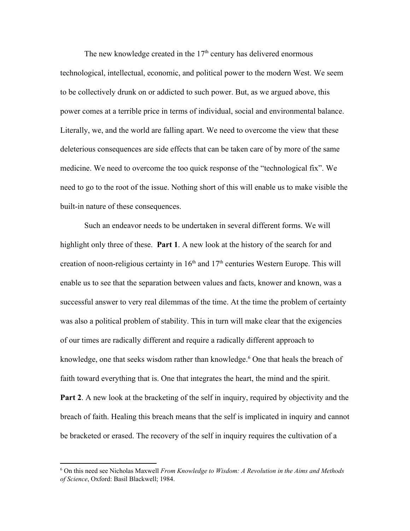The new knowledge created in the  $17<sup>th</sup>$  century has delivered enormous technological, intellectual, economic, and political power to the modern West. We seem to be collectively drunk on or addicted to such power. But, as we argued above, this power comes at a terrible price in terms of individual, social and environmental balance. Literally, we, and the world are falling apart. We need to overcome the view that these deleterious consequences are side effects that can be taken care of by more of the same medicine. We need to overcome the too quick response of the "technological fix". We need to go to the root of the issue. Nothing short of this will enable us to make visible the built-in nature of these consequences.

Such an endeavor needs to be undertaken in several different forms. We will highlight only three of these. **Part 1**. A new look at the history of the search for and creation of noon-religious certainty in  $16<sup>th</sup>$  and  $17<sup>th</sup>$  centuries Western Europe. This will enable us to see that the separation between values and facts, knower and known, was a successful answer to very real dilemmas of the time. At the time the problem of certainty was also a political problem of stability. This in turn will make clear that the exigencies of our times are radically different and require a radically different approach to knowledge, one that seeks wisdom rather than knowledge.<sup>6</sup> One that heals the breach of faith toward everything that is. One that integrates the heart, the mind and the spirit. **Part 2**. A new look at the bracketing of the self in inquiry, required by objectivity and the

breach of faith. Healing this breach means that the self is implicated in inquiry and cannot be bracketed or erased. The recovery of the self in inquiry requires the cultivation of a

<sup>6</sup> On this need see Nicholas Maxwell *From Knowledge to Wisdom: A Revolution in the Aims and Methods of Science*, Oxford: Basil Blackwell; 1984.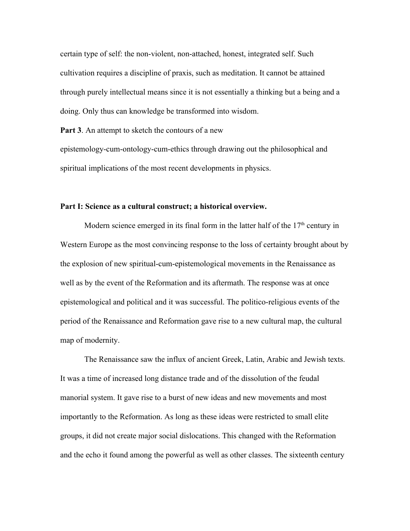certain type of self: the non-violent, non-attached, honest, integrated self. Such cultivation requires a discipline of praxis, such as meditation. It cannot be attained through purely intellectual means since it is not essentially a thinking but a being and a doing. Only thus can knowledge be transformed into wisdom.

**Part 3**. An attempt to sketch the contours of a new

epistemology-cum-ontology-cum-ethics through drawing out the philosophical and spiritual implications of the most recent developments in physics.

# **Part I: Science as a cultural construct; a historical overview.**

Modern science emerged in its final form in the latter half of the  $17<sup>th</sup>$  century in Western Europe as the most convincing response to the loss of certainty brought about by the explosion of new spiritual-cum-epistemological movements in the Renaissance as well as by the event of the Reformation and its aftermath. The response was at once epistemological and political and it was successful. The politico-religious events of the period of the Renaissance and Reformation gave rise to a new cultural map, the cultural map of modernity.

The Renaissance saw the influx of ancient Greek, Latin, Arabic and Jewish texts. It was a time of increased long distance trade and of the dissolution of the feudal manorial system. It gave rise to a burst of new ideas and new movements and most importantly to the Reformation. As long as these ideas were restricted to small elite groups, it did not create major social dislocations. This changed with the Reformation and the echo it found among the powerful as well as other classes. The sixteenth century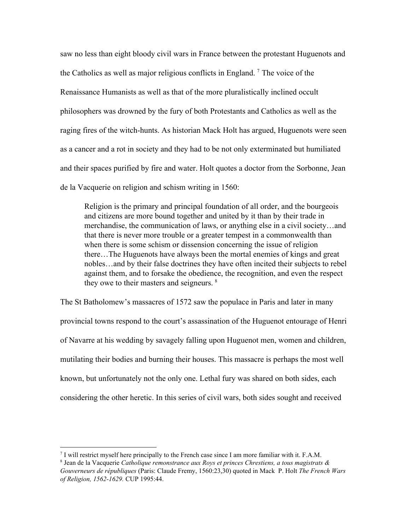saw no less than eight bloody civil wars in France between the protestant Huguenots and the Catholics as well as major religious conflicts in England.<sup>7</sup> The voice of the Renaissance Humanists as well as that of the more pluralistically inclined occult philosophers was drowned by the fury of both Protestants and Catholics as well as the raging fires of the witch-hunts. As historian Mack Holt has argued, Huguenots were seen as a cancer and a rot in society and they had to be not only exterminated but humiliated and their spaces purified by fire and water. Holt quotes a doctor from the Sorbonne, Jean de la Vacquerie on religion and schism writing in 1560:

Religion is the primary and principal foundation of all order, and the bourgeois and citizens are more bound together and united by it than by their trade in merchandise, the communication of laws, or anything else in a civil society…and that there is never more trouble or a greater tempest in a commonwealth than when there is some schism or dissension concerning the issue of religion there…The Huguenots have always been the mortal enemies of kings and great nobles…and by their false doctrines they have often incited their subjects to rebel against them, and to forsake the obedience, the recognition, and even the respect they owe to their masters and seigneurs.<sup>8</sup>

The St Batholomew's massacres of 1572 saw the populace in Paris and later in many provincial towns respond to the court's assassination of the Huguenot entourage of Henri of Navarre at his wedding by savagely falling upon Huguenot men, women and children, mutilating their bodies and burning their houses. This massacre is perhaps the most well known, but unfortunately not the only one. Lethal fury was shared on both sides, each considering the other heretic. In this series of civil wars, both sides sought and received

<sup>7</sup> I will restrict myself here principally to the French case since I am more familiar with it. F.A.M.

<sup>8</sup> Jean de la Vacquerie *Catholique remonstrance aux Roys et princes Chrestiens, a tous magistrats & Gouverneurs de républiques* (Paris: Claude Fremy, 1560:23,30) quoted in Mack P. Holt *The French Wars of Religion, 15621629.* CUP 1995:44.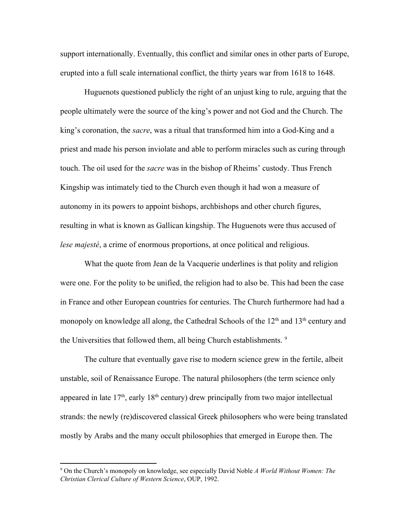support internationally. Eventually, this conflict and similar ones in other parts of Europe, erupted into a full scale international conflict, the thirty years war from 1618 to 1648.

Huguenots questioned publicly the right of an unjust king to rule, arguing that the people ultimately were the source of the king's power and not God and the Church. The king's coronation, the *sacre*, was a ritual that transformed him into a God-King and a priest and made his person inviolate and able to perform miracles such as curing through touch. The oil used for the *sacre* was in the bishop of Rheims' custody. Thus French Kingship was intimately tied to the Church even though it had won a measure of autonomy in its powers to appoint bishops, archbishops and other church figures, resulting in what is known as Gallican kingship. The Huguenots were thus accused of *lese majesté*, a crime of enormous proportions, at once political and religious.

What the quote from Jean de la Vacquerie underlines is that polity and religion were one. For the polity to be unified, the religion had to also be. This had been the case in France and other European countries for centuries. The Church furthermore had had a monopoly on knowledge all along, the Cathedral Schools of the  $12<sup>th</sup>$  and  $13<sup>th</sup>$  century and the Universities that followed them, all being Church establishments.<sup>9</sup>

The culture that eventually gave rise to modern science grew in the fertile, albeit unstable, soil of Renaissance Europe. The natural philosophers (the term science only appeared in late  $17<sup>th</sup>$ , early  $18<sup>th</sup>$  century) drew principally from two major intellectual strands: the newly (re)discovered classical Greek philosophers who were being translated mostly by Arabs and the many occult philosophies that emerged in Europe then. The

<sup>9</sup> On the Church's monopoly on knowledge, see especially David Noble *A World Without Women: The Christian Clerical Culture of Western Science*, OUP, 1992.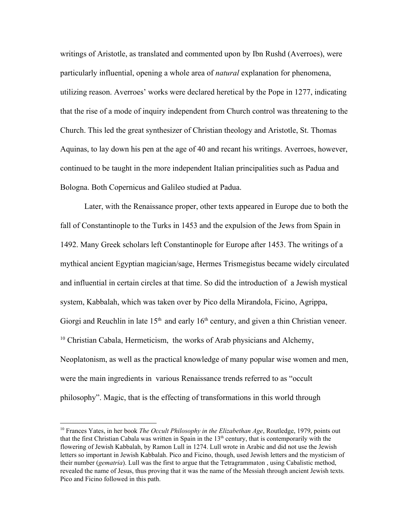writings of Aristotle, as translated and commented upon by Ibn Rushd (Averroes), were particularly influential, opening a whole area of *natural* explanation for phenomena, utilizing reason. Averroes' works were declared heretical by the Pope in 1277, indicating that the rise of a mode of inquiry independent from Church control was threatening to the Church. This led the great synthesizer of Christian theology and Aristotle, St. Thomas Aquinas, to lay down his pen at the age of 40 and recant his writings. Averroes, however, continued to be taught in the more independent Italian principalities such as Padua and Bologna. Both Copernicus and Galileo studied at Padua.

Later, with the Renaissance proper, other texts appeared in Europe due to both the fall of Constantinople to the Turks in 1453 and the expulsion of the Jews from Spain in 1492. Many Greek scholars left Constantinople for Europe after 1453. The writings of a mythical ancient Egyptian magician/sage, Hermes Trismegistus became widely circulated and influential in certain circles at that time. So did the introduction of a Jewish mystical system, Kabbalah, which was taken over by Pico della Mirandola, Ficino, Agrippa, Giorgi and Reuchlin in late  $15<sup>th</sup>$  and early  $16<sup>th</sup>$  century, and given a thin Christian veneer. <sup>10</sup> Christian Cabala, Hermeticism, the works of Arab physicians and Alchemy, Neoplatonism, as well as the practical knowledge of many popular wise women and men, were the main ingredients in various Renaissance trends referred to as "occult philosophy". Magic, that is the effecting of transformations in this world through

<sup>10</sup> Frances Yates, in her book *The Occult Philosophy in the Elizabethan Age*, Routledge, 1979, points out that the first Christian Cabala was written in Spain in the  $13<sup>th</sup>$  century, that is contemporarily with the flowering of Jewish Kabbalah, by Ramon Lull in 1274. Lull wrote in Arabic and did not use the Jewish letters so important in Jewish Kabbalah. Pico and Ficino, though, used Jewish letters and the mysticism of their number (*gematria*). Lull was the first to argue that the Tetragrammaton , using Cabalistic method, revealed the name of Jesus, thus proving that it was the name of the Messiah through ancient Jewish texts. Pico and Ficino followed in this path.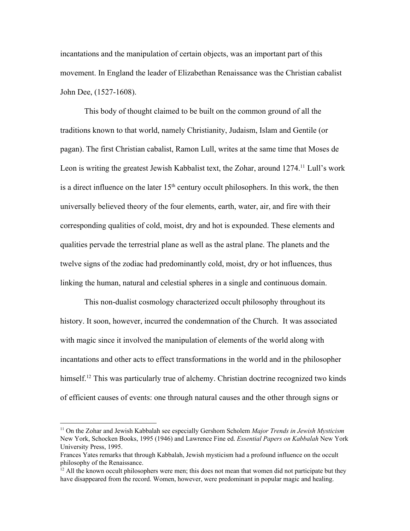incantations and the manipulation of certain objects, was an important part of this movement. In England the leader of Elizabethan Renaissance was the Christian cabalist John Dee, (1527-1608).

This body of thought claimed to be built on the common ground of all the traditions known to that world, namely Christianity, Judaism, Islam and Gentile (or pagan). The first Christian cabalist, Ramon Lull, writes at the same time that Moses de Leon is writing the greatest Jewish Kabbalist text, the Zohar, around 1274.<sup>11</sup> Lull's work is a direct influence on the later  $15<sup>th</sup>$  century occult philosophers. In this work, the then universally believed theory of the four elements, earth, water, air, and fire with their corresponding qualities of cold, moist, dry and hot is expounded. These elements and qualities pervade the terrestrial plane as well as the astral plane. The planets and the twelve signs of the zodiac had predominantly cold, moist, dry or hot influences, thus linking the human, natural and celestial spheres in a single and continuous domain.

This non-dualist cosmology characterized occult philosophy throughout its history. It soon, however, incurred the condemnation of the Church. It was associated with magic since it involved the manipulation of elements of the world along with incantations and other acts to effect transformations in the world and in the philosopher himself.<sup>12</sup> This was particularly true of alchemy. Christian doctrine recognized two kinds of efficient causes of events: one through natural causes and the other through signs or

<sup>11</sup> On the Zohar and Jewish Kabbalah see especially Gershom Scholem *Major Trends in Jewish Mysticism* New York, Schocken Books, 1995 (1946) and Lawrence Fine ed. *Essential Papers on Kabbalah* New York University Press, 1995.

Frances Yates remarks that through Kabbalah, Jewish mysticism had a profound influence on the occult philosophy of the Renaissance.

 $12$  All the known occult philosophers were men; this does not mean that women did not participate but they have disappeared from the record. Women, however, were predominant in popular magic and healing.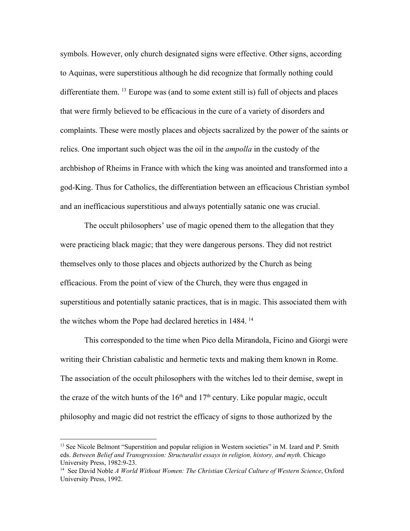symbols. However, only church designated signs were effective. Other signs, according to Aquinas, were superstitious although he did recognize that formally nothing could differentiate them.  $^{13}$  Europe was (and to some extent still is) full of objects and places that were firmly believed to be efficacious in the cure of a variety of disorders and complaints. These were mostly places and objects sacralized by the power of the saints or relics. One important such object was the oil in the *ampolla* in the custody of the archbishop of Rheims in France with which the king was anointed and transformed into a god-King. Thus for Catholics, the differentiation between an efficacious Christian symbol and an inefficacious superstitious and always potentially satanic one was crucial.

The occult philosophers' use of magic opened them to the allegation that they were practicing black magic; that they were dangerous persons. They did not restrict themselves only to those places and objects authorized by the Church as being efficacious. From the point of view of the Church, they were thus engaged in superstitious and potentially satanic practices, that is in magic. This associated them with the witches whom the Pope had declared heretics in 1484. 14

This corresponded to the time when Pico della Mirandola, Ficino and Giorgi were writing their Christian cabalistic and hermetic texts and making them known in Rome. The association of the occult philosophers with the witches led to their demise, swept in the craze of the witch hunts of the  $16<sup>th</sup>$  and  $17<sup>th</sup>$  century. Like popular magic, occult philosophy and magic did not restrict the efficacy of signs to those authorized by the

<sup>&</sup>lt;sup>13</sup> See Nicole Belmont "Superstition and popular religion in Western societies" in M. Izard and P. Smith eds. *Between Belief and Transgression: Structuralist essays in religion, history, and myth.* Chicago University Press, 1982:9-23.

<sup>14</sup> See David Noble *A World Without Women: The Christian Clerical Culture of Western Science*, Oxford University Press, 1992.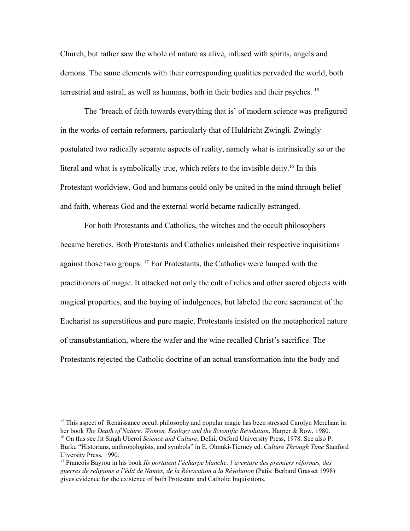Church, but rather saw the whole of nature as alive, infused with spirits, angels and demons. The same elements with their corresponding qualities pervaded the world, both terrestrial and astral, as well as humans, both in their bodies and their psyches. 15

The 'breach of faith towards everything that is' of modern science was prefigured in the works of certain reformers, particularly that of Huldricht Zwingli. Zwingly postulated two radically separate aspects of reality, namely what is intrinsically so or the literal and what is symbolically true, which refers to the invisible deity.<sup>16</sup> In this Protestant worldview, God and humans could only be united in the mind through belief and faith, whereas God and the external world became radically estranged.

For both Protestants and Catholics, the witches and the occult philosophers became heretics. Both Protestants and Catholics unleashed their respective inquisitions against those two groups.  $17$  For Protestants, the Catholics were lumped with the practitioners of magic. It attacked not only the cult of relics and other sacred objects with magical properties, and the buying of indulgences, but labeled the core sacrament of the Eucharist as superstitious and pure magic. Protestants insisted on the metaphorical nature of transubstantiation, where the wafer and the wine recalled Christ's sacrifice. The Protestants rejected the Catholic doctrine of an actual transformation into the body and

<sup>&</sup>lt;sup>15</sup> This aspect of Renaissance occult philosophy and popular magic has been stressed Carolyn Merchant in her book *The Death of Nature: Women, Ecology and the Scientific Revolution*, Harper & Row, 1980. <sup>16</sup> On this see Jit Singh Uberoi *Science and Culture*, Delhi, Oxford University Press, 1978. See also P. Burke "Historians, anthropologists, and symbols" in E. Ohnuki-Tierney ed. *Culture Through Time* Stanford Uiversity Press, 1990.

<sup>17</sup> Francois Bayrou in his book *Ils portaient l'écharpe blanche: l'aventure des premiers réformés, des guerres de religions a l'édit de Nantes, de la Révocation a la Révolution* (Patis: Berbard Grasset 1998) gives evidence for the existence of both Protestant and Catholic Inquisitions.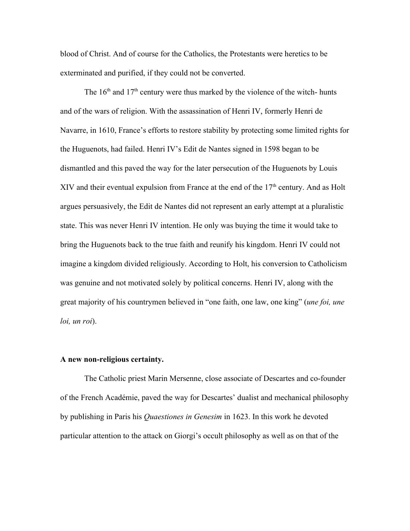blood of Christ. And of course for the Catholics, the Protestants were heretics to be exterminated and purified, if they could not be converted.

The  $16<sup>th</sup>$  and  $17<sup>th</sup>$  century were thus marked by the violence of the witch-hunts and of the wars of religion. With the assassination of Henri IV, formerly Henri de Navarre, in 1610, France's efforts to restore stability by protecting some limited rights for the Huguenots, had failed. Henri IV's Edit de Nantes signed in 1598 began to be dismantled and this paved the way for the later persecution of the Huguenots by Louis XIV and their eventual expulsion from France at the end of the  $17<sup>th</sup>$  century. And as Holt argues persuasively, the Edit de Nantes did not represent an early attempt at a pluralistic state. This was never Henri IV intention. He only was buying the time it would take to bring the Huguenots back to the true faith and reunify his kingdom. Henri IV could not imagine a kingdom divided religiously. According to Holt, his conversion to Catholicism was genuine and not motivated solely by political concerns. Henri IV, along with the great majority of his countrymen believed in "one faith, one law, one king" (*une foi, une loi, un roi*).

## **A new nonreligious certainty.**

The Catholic priest Marin Mersenne, close associate of Descartes and co-founder of the French Académie, paved the way for Descartes' dualist and mechanical philosophy by publishing in Paris his *Quaestiones in Genesim* in 1623. In this work he devoted particular attention to the attack on Giorgi's occult philosophy as well as on that of the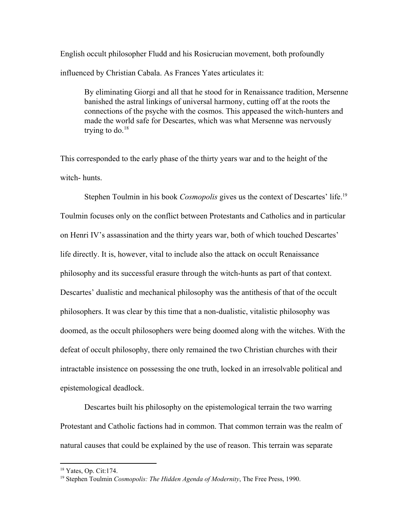English occult philosopher Fludd and his Rosicrucian movement, both profoundly influenced by Christian Cabala. As Frances Yates articulates it:

By eliminating Giorgi and all that he stood for in Renaissance tradition, Mersenne banished the astral linkings of universal harmony, cutting off at the roots the connections of the psyche with the cosmos. This appeased the witch-hunters and made the world safe for Descartes, which was what Mersenne was nervously trying to do. $18$ 

This corresponded to the early phase of the thirty years war and to the height of the witch-hunts.

Stephen Toulmin in his book *Cosmopolis* gives us the context of Descartes' life. 19 Toulmin focuses only on the conflict between Protestants and Catholics and in particular on Henri IV's assassination and the thirty years war, both of which touched Descartes' life directly. It is, however, vital to include also the attack on occult Renaissance philosophy and its successful erasure through the witch-hunts as part of that context. Descartes' dualistic and mechanical philosophy was the antithesis of that of the occult philosophers. It was clear by this time that a non-dualistic, vitalistic philosophy was doomed, as the occult philosophers were being doomed along with the witches. With the defeat of occult philosophy, there only remained the two Christian churches with their intractable insistence on possessing the one truth, locked in an irresolvable political and epistemological deadlock.

Descartes built his philosophy on the epistemological terrain the two warring Protestant and Catholic factions had in common. That common terrain was the realm of natural causes that could be explained by the use of reason. This terrain was separate

<sup>18</sup> Yates, Op. Cit:174.

<sup>19</sup> Stephen Toulmin *Cosmopolis: The Hidden Agenda of Modernity*, The Free Press, 1990.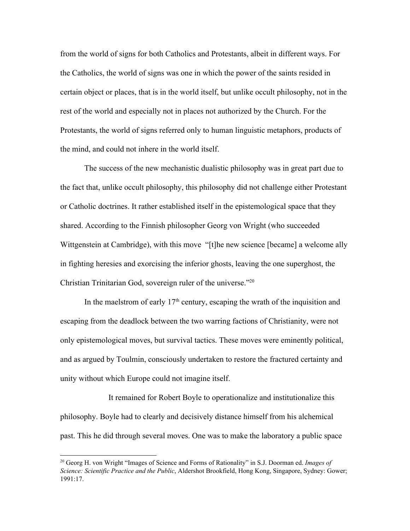from the world of signs for both Catholics and Protestants, albeit in different ways. For the Catholics, the world of signs was one in which the power of the saints resided in certain object or places, that is in the world itself, but unlike occult philosophy, not in the rest of the world and especially not in places not authorized by the Church. For the Protestants, the world of signs referred only to human linguistic metaphors, products of the mind, and could not inhere in the world itself.

The success of the new mechanistic dualistic philosophy was in great part due to the fact that, unlike occult philosophy, this philosophy did not challenge either Protestant or Catholic doctrines. It rather established itself in the epistemological space that they shared. According to the Finnish philosopher Georg von Wright (who succeeded Wittgenstein at Cambridge), with this move "[t]he new science [became] a welcome ally in fighting heresies and exorcising the inferior ghosts, leaving the one superghost, the Christian Trinitarian God, sovereign ruler of the universe." 20

In the maelstrom of early  $17<sup>th</sup>$  century, escaping the wrath of the inquisition and escaping from the deadlock between the two warring factions of Christianity, were not only epistemological moves, but survival tactics. These moves were eminently political, and as argued by Toulmin, consciously undertaken to restore the fractured certainty and unity without which Europe could not imagine itself.

It remained for Robert Boyle to operationalize and institutionalize this philosophy. Boyle had to clearly and decisively distance himself from his alchemical past. This he did through several moves. One was to make the laboratory a public space

<sup>20</sup> Georg H. von Wright "Images of Science and Forms of Rationality" in S.J. Doorman ed. *Images of Science: Scientific Practice and the Public*, Aldershot Brookfield, Hong Kong, Singapore, Sydney: Gower; 1991:17.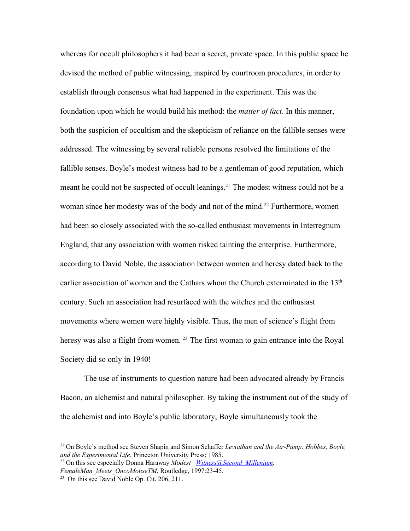whereas for occult philosophers it had been a secret, private space. In this public space he devised the method of public witnessing, inspired by courtroom procedures, in order to establish through consensus what had happened in the experiment. This was the foundation upon which he would build his method: the *matter of fact*. In this manner, both the suspicion of occultism and the skepticism of reliance on the fallible senses were addressed. The witnessing by several reliable persons resolved the limitations of the fallible senses. Boyle's modest witness had to be a gentleman of good reputation, which meant he could not be suspected of occult leanings.<sup>21</sup> The modest witness could not be a woman since her modesty was of the body and not of the mind.<sup>22</sup> Furthermore, women had been so closely associated with the so-called enthusiast movements in Interregnum England, that any association with women risked tainting the enterprise. Furthermore, according to David Noble, the association between women and heresy dated back to the earlier association of women and the Cathars whom the Church exterminated in the 13<sup>th</sup> century. Such an association had resurfaced with the witches and the enthusiast movements where women were highly visible. Thus, the men of science's flight from heresy was also a flight from women.<sup>23</sup> The first woman to gain entrance into the Royal Society did so only in 1940!

The use of instruments to question nature had been advocated already by Francis Bacon, an alchemist and natural philosopher. By taking the instrument out of the study of the alchemist and into Boyle's public laboratory, Boyle simultaneously took the

<sup>&</sup>lt;sup>21</sup> On Boyle's method see Steven Shapin and Simon Schaffer *Leviathan and the Air-Pump: Hobbes, Boyle, and the Experimental Life.* Princeton University Press; 1985.

<sup>&</sup>lt;sup>22</sup> On this see especially Donna Haraway *Modest* Witness@Second Millenium. *FemaleMan\_Meets\_OncoMouseTM*, Routledge, 1997:2345.

<sup>&</sup>lt;sup>23</sup> On this see David Noble Op. Cit. 206, 211.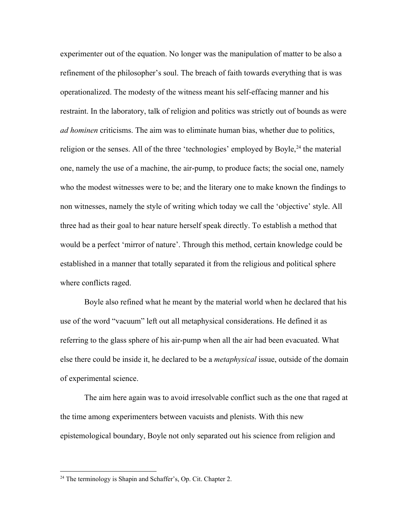experimenter out of the equation. No longer was the manipulation of matter to be also a refinement of the philosopher's soul. The breach of faith towards everything that is was operationalized. The modesty of the witness meant his self-effacing manner and his restraint. In the laboratory, talk of religion and politics was strictly out of bounds as were *ad hominen* criticisms. The aim was to eliminate human bias, whether due to politics, religion or the senses. All of the three 'technologies' employed by Boyle, $^{24}$  the material one, namely the use of a machine, the air-pump, to produce facts; the social one, namely who the modest witnesses were to be; and the literary one to make known the findings to non witnesses, namely the style of writing which today we call the 'objective' style. All three had as their goal to hear nature herself speak directly. To establish a method that would be a perfect 'mirror of nature'. Through this method, certain knowledge could be established in a manner that totally separated it from the religious and political sphere where conflicts raged.

Boyle also refined what he meant by the material world when he declared that his use of the word "vacuum" left out all metaphysical considerations. He defined it as referring to the glass sphere of his air-pump when all the air had been evacuated. What else there could be inside it, he declared to be a *metaphysical* issue, outside of the domain of experimental science.

The aim here again was to avoid irresolvable conflict such as the one that raged at the time among experimenters between vacuists and plenists. With this new epistemological boundary, Boyle not only separated out his science from religion and

 $24$  The terminology is Shapin and Schaffer's, Op. Cit. Chapter 2.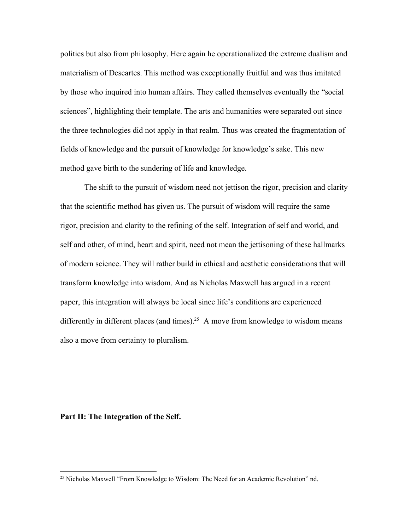politics but also from philosophy. Here again he operationalized the extreme dualism and materialism of Descartes. This method was exceptionally fruitful and was thus imitated by those who inquired into human affairs. They called themselves eventually the "social sciences", highlighting their template. The arts and humanities were separated out since the three technologies did not apply in that realm. Thus was created the fragmentation of fields of knowledge and the pursuit of knowledge for knowledge's sake. This new method gave birth to the sundering of life and knowledge.

The shift to the pursuit of wisdom need not jettison the rigor, precision and clarity that the scientific method has given us. The pursuit of wisdom will require the same rigor, precision and clarity to the refining of the self. Integration of self and world, and self and other, of mind, heart and spirit, need not mean the jettisoning of these hallmarks of modern science. They will rather build in ethical and aesthetic considerations that will transform knowledge into wisdom. And as Nicholas Maxwell has argued in a recent paper, this integration will always be local since life's conditions are experienced differently in different places (and times).<sup>25</sup> A move from knowledge to wisdom means also a move from certainty to pluralism.

## **Part II: The Integration of the Self.**

<sup>25</sup> Nicholas Maxwell "From Knowledge to Wisdom: The Need for an Academic Revolution" nd.